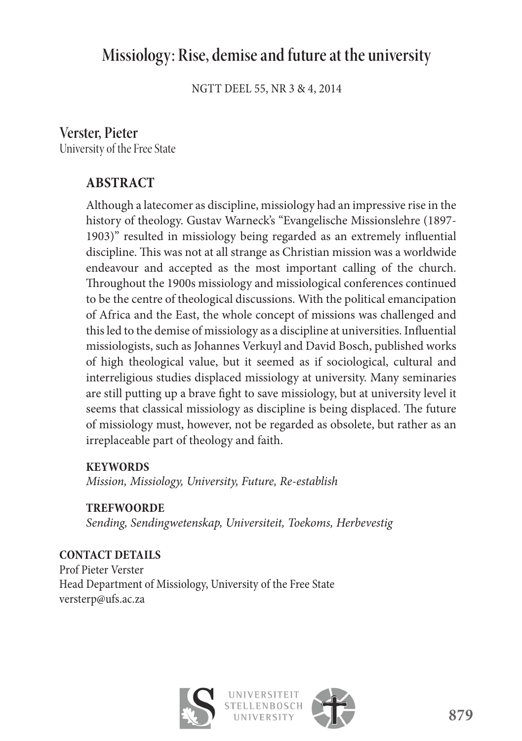# **Missiology: Rise, demise and future at the university**

NGTT DEEL 55, NR 3 & 4, 2014

# **Verster, Pieter**

University of the Free State

# **ABSTRACT**

Although a latecomer as discipline, missiology had an impressive rise in the history of theology. Gustav Warneck's "Evangelische Missionslehre (1897- 1903)" resulted in missiology being regarded as an extremely influential discipline. This was not at all strange as Christian mission was a worldwide endeavour and accepted as the most important calling of the church. Throughout the 1900s missiology and missiological conferences continued to be the centre of theological discussions. With the political emancipation of Africa and the East, the whole concept of missions was challenged and this led to the demise of missiology as a discipline at universities. Influential missiologists, such as Johannes Verkuyl and David Bosch, published works of high theological value, but it seemed as if sociological, cultural and interreligious studies displaced missiology at university. Many seminaries are still putting up a brave fight to save missiology, but at university level it seems that classical missiology as discipline is being displaced. The future of missiology must, however, not be regarded as obsolete, but rather as an irreplaceable part of theology and faith.

### **KEYWORDS**

*Mission, Missiology, University, Future, Re-establish*

**TREFWOORDE**

*Sending, Sendingwetenskap, Universiteit, Toekoms, Herbevestig*

**CONTACT DETAILS** Prof Pieter Verster Head Department of Missiology, University of the Free State versterp@ufs.ac.za



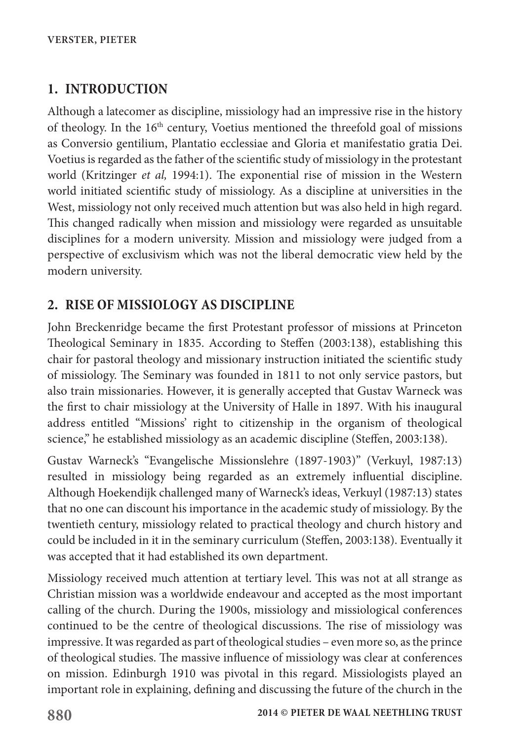# **1. INTRODUCTION**

Although a latecomer as discipline, missiology had an impressive rise in the history of theology. In the 16<sup>th</sup> century, Voetius mentioned the threefold goal of missions as Conversio gentilium, Plantatio ecclessiae and Gloria et manifestatio gratia Dei. Voetius is regarded as the father of the scientific study of missiology in the protestant world (Kritzinger *et al,* 1994:1). The exponential rise of mission in the Western world initiated scientific study of missiology. As a discipline at universities in the West, missiology not only received much attention but was also held in high regard. This changed radically when mission and missiology were regarded as unsuitable disciplines for a modern university. Mission and missiology were judged from a perspective of exclusivism which was not the liberal democratic view held by the modern university.

# **2. RISE OF MISSIOLOGY AS DISCIPLINE**

John Breckenridge became the first Protestant professor of missions at Princeton Theological Seminary in 1835. According to Steffen (2003:138), establishing this chair for pastoral theology and missionary instruction initiated the scientific study of missiology. The Seminary was founded in 1811 to not only service pastors, but also train missionaries. However, it is generally accepted that Gustav Warneck was the first to chair missiology at the University of Halle in 1897. With his inaugural address entitled "Missions' right to citizenship in the organism of theological science," he established missiology as an academic discipline (Steffen, 2003:138).

Gustav Warneck's "Evangelische Missionslehre (1897-1903)" (Verkuyl, 1987:13) resulted in missiology being regarded as an extremely influential discipline. Although Hoekendijk challenged many of Warneck's ideas, Verkuyl (1987:13) states that no one can discount his importance in the academic study of missiology. By the twentieth century, missiology related to practical theology and church history and could be included in it in the seminary curriculum (Steffen, 2003:138). Eventually it was accepted that it had established its own department.

Missiology received much attention at tertiary level. This was not at all strange as Christian mission was a worldwide endeavour and accepted as the most important calling of the church. During the 1900s, missiology and missiological conferences continued to be the centre of theological discussions. The rise of missiology was impressive. It was regarded as part of theological studies – even more so, as the prince of theological studies. The massive influence of missiology was clear at conferences on mission. Edinburgh 1910 was pivotal in this regard. Missiologists played an important role in explaining, defining and discussing the future of the church in the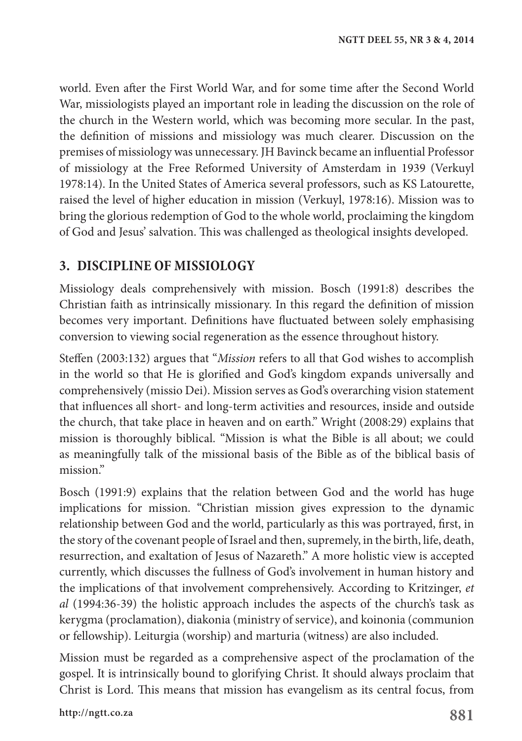world. Even after the First World War, and for some time after the Second World War, missiologists played an important role in leading the discussion on the role of the church in the Western world, which was becoming more secular. In the past, the definition of missions and missiology was much clearer. Discussion on the premises of missiology was unnecessary. JH Bavinck became an influential Professor of missiology at the Free Reformed University of Amsterdam in 1939 (Verkuyl 1978:14). In the United States of America several professors, such as KS Latourette, raised the level of higher education in mission (Verkuyl, 1978:16). Mission was to bring the glorious redemption of God to the whole world, proclaiming the kingdom of God and Jesus' salvation. This was challenged as theological insights developed.

# **3. DISCIPLINE OF MISSIOLOGY**

Missiology deals comprehensively with mission. Bosch (1991:8) describes the Christian faith as intrinsically missionary. In this regard the definition of mission becomes very important. Definitions have fluctuated between solely emphasising conversion to viewing social regeneration as the essence throughout history.

Steffen (2003:132) argues that "*Mission* refers to all that God wishes to accomplish in the world so that He is glorified and God's kingdom expands universally and comprehensively (missio Dei). Mission serves as God's overarching vision statement that influences all short- and long-term activities and resources, inside and outside the church, that take place in heaven and on earth." Wright (2008:29) explains that mission is thoroughly biblical. "Mission is what the Bible is all about; we could as meaningfully talk of the missional basis of the Bible as of the biblical basis of mission."

Bosch (1991:9) explains that the relation between God and the world has huge implications for mission. "Christian mission gives expression to the dynamic relationship between God and the world, particularly as this was portrayed, first, in the story of the covenant people of Israel and then, supremely, in the birth, life, death, resurrection, and exaltation of Jesus of Nazareth." A more holistic view is accepted currently, which discusses the fullness of God's involvement in human history and the implications of that involvement comprehensively. According to Kritzinger, *et al* (1994:36-39) the holistic approach includes the aspects of the church's task as kerygma (proclamation), diakonia (ministry of service), and koinonia (communion or fellowship). Leiturgia (worship) and marturia (witness) are also included.

Mission must be regarded as a comprehensive aspect of the proclamation of the gospel. It is intrinsically bound to glorifying Christ. It should always proclaim that Christ is Lord. This means that mission has evangelism as its central focus, from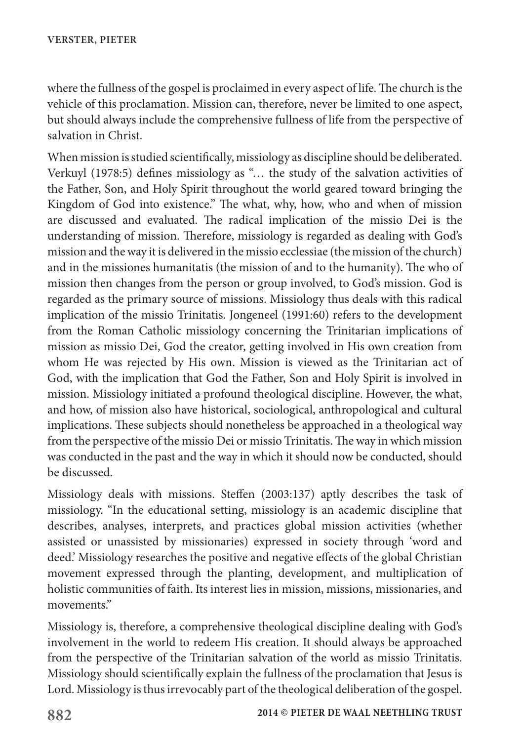where the fullness of the gospel is proclaimed in every aspect of life. The church is the vehicle of this proclamation. Mission can, therefore, never be limited to one aspect, but should always include the comprehensive fullness of life from the perspective of salvation in Christ.

When mission is studied scientifically, missiology as discipline should be deliberated. Verkuyl (1978:5) defines missiology as "… the study of the salvation activities of the Father, Son, and Holy Spirit throughout the world geared toward bringing the Kingdom of God into existence." The what, why, how, who and when of mission are discussed and evaluated. The radical implication of the missio Dei is the understanding of mission. Therefore, missiology is regarded as dealing with God's mission and the way it is delivered in the missio ecclessiae (the mission of the church) and in the missiones humanitatis (the mission of and to the humanity). The who of mission then changes from the person or group involved, to God's mission. God is regarded as the primary source of missions. Missiology thus deals with this radical implication of the missio Trinitatis. Jongeneel (1991:60) refers to the development from the Roman Catholic missiology concerning the Trinitarian implications of mission as missio Dei, God the creator, getting involved in His own creation from whom He was rejected by His own. Mission is viewed as the Trinitarian act of God, with the implication that God the Father, Son and Holy Spirit is involved in mission. Missiology initiated a profound theological discipline. However, the what, and how, of mission also have historical, sociological, anthropological and cultural implications. These subjects should nonetheless be approached in a theological way from the perspective of the missio Dei or missio Trinitatis. The way in which mission was conducted in the past and the way in which it should now be conducted, should be discussed.

Missiology deals with missions. Steffen (2003:137) aptly describes the task of missiology. "In the educational setting, missiology is an academic discipline that describes, analyses, interprets, and practices global mission activities (whether assisted or unassisted by missionaries) expressed in society through 'word and deed.' Missiology researches the positive and negative effects of the global Christian movement expressed through the planting, development, and multiplication of holistic communities of faith. Its interest lies in mission, missions, missionaries, and movements."

Missiology is, therefore, a comprehensive theological discipline dealing with God's involvement in the world to redeem His creation. It should always be approached from the perspective of the Trinitarian salvation of the world as missio Trinitatis. Missiology should scientifically explain the fullness of the proclamation that Jesus is Lord. Missiology is thus irrevocably part of the theological deliberation of the gospel.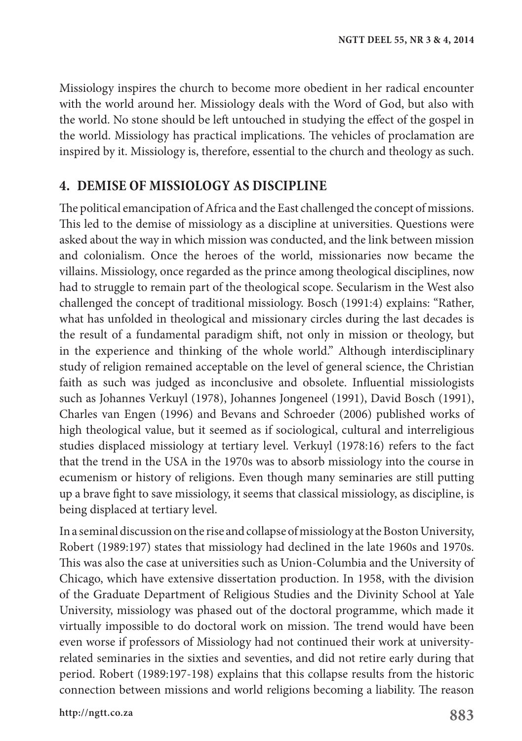Missiology inspires the church to become more obedient in her radical encounter with the world around her. Missiology deals with the Word of God, but also with the world. No stone should be left untouched in studying the effect of the gospel in the world. Missiology has practical implications. The vehicles of proclamation are inspired by it. Missiology is, therefore, essential to the church and theology as such.

#### **4. DEMISE OF MISSIOLOGY AS DISCIPLINE**

The political emancipation of Africa and the East challenged the concept of missions. This led to the demise of missiology as a discipline at universities. Questions were asked about the way in which mission was conducted, and the link between mission and colonialism. Once the heroes of the world, missionaries now became the villains. Missiology, once regarded as the prince among theological disciplines, now had to struggle to remain part of the theological scope. Secularism in the West also challenged the concept of traditional missiology. Bosch (1991:4) explains: "Rather, what has unfolded in theological and missionary circles during the last decades is the result of a fundamental paradigm shift, not only in mission or theology, but in the experience and thinking of the whole world." Although interdisciplinary study of religion remained acceptable on the level of general science, the Christian faith as such was judged as inconclusive and obsolete. Influential missiologists such as Johannes Verkuyl (1978), Johannes Jongeneel (1991), David Bosch (1991), Charles van Engen (1996) and Bevans and Schroeder (2006) published works of high theological value, but it seemed as if sociological, cultural and interreligious studies displaced missiology at tertiary level. Verkuyl (1978:16) refers to the fact that the trend in the USA in the 1970s was to absorb missiology into the course in ecumenism or history of religions. Even though many seminaries are still putting up a brave fight to save missiology, it seems that classical missiology, as discipline, is being displaced at tertiary level.

In a seminal discussion on the rise and collapse of missiology at the Boston University, Robert (1989:197) states that missiology had declined in the late 1960s and 1970s. This was also the case at universities such as Union-Columbia and the University of Chicago, which have extensive dissertation production. In 1958, with the division of the Graduate Department of Religious Studies and the Divinity School at Yale University, missiology was phased out of the doctoral programme, which made it virtually impossible to do doctoral work on mission. The trend would have been even worse if professors of Missiology had not continued their work at universityrelated seminaries in the sixties and seventies, and did not retire early during that period. Robert (1989:197-198) explains that this collapse results from the historic connection between missions and world religions becoming a liability. The reason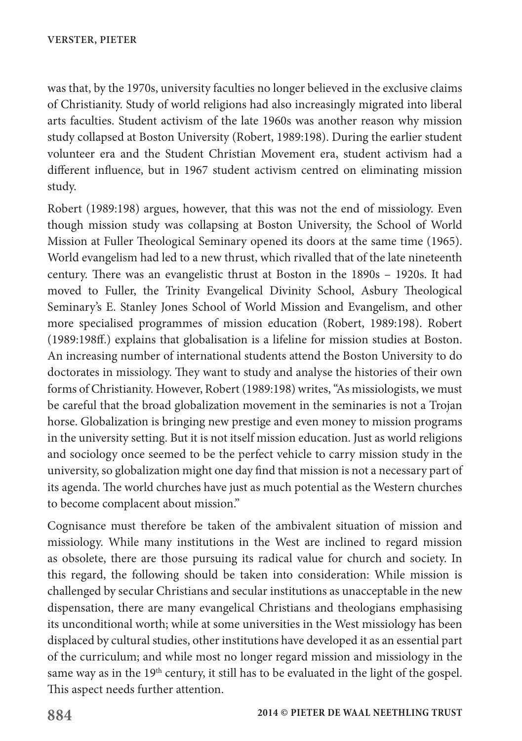was that, by the 1970s, university faculties no longer believed in the exclusive claims of Christianity. Study of world religions had also increasingly migrated into liberal arts faculties. Student activism of the late 1960s was another reason why mission study collapsed at Boston University (Robert, 1989:198). During the earlier student volunteer era and the Student Christian Movement era, student activism had a different influence, but in 1967 student activism centred on eliminating mission study.

Robert (1989:198) argues, however, that this was not the end of missiology. Even though mission study was collapsing at Boston University, the School of World Mission at Fuller Theological Seminary opened its doors at the same time (1965). World evangelism had led to a new thrust, which rivalled that of the late nineteenth century. There was an evangelistic thrust at Boston in the 1890s – 1920s. It had moved to Fuller, the Trinity Evangelical Divinity School, Asbury Theological Seminary's E. Stanley Jones School of World Mission and Evangelism, and other more specialised programmes of mission education (Robert, 1989:198). Robert (1989:198ff.) explains that globalisation is a lifeline for mission studies at Boston. An increasing number of international students attend the Boston University to do doctorates in missiology. They want to study and analyse the histories of their own forms of Christianity. However, Robert (1989:198) writes, "As missiologists, we must be careful that the broad globalization movement in the seminaries is not a Trojan horse. Globalization is bringing new prestige and even money to mission programs in the university setting. But it is not itself mission education. Just as world religions and sociology once seemed to be the perfect vehicle to carry mission study in the university, so globalization might one day find that mission is not a necessary part of its agenda. The world churches have just as much potential as the Western churches to become complacent about mission."

Cognisance must therefore be taken of the ambivalent situation of mission and missiology. While many institutions in the West are inclined to regard mission as obsolete, there are those pursuing its radical value for church and society. In this regard, the following should be taken into consideration: While mission is challenged by secular Christians and secular institutions as unacceptable in the new dispensation, there are many evangelical Christians and theologians emphasising its unconditional worth; while at some universities in the West missiology has been displaced by cultural studies, other institutions have developed it as an essential part of the curriculum; and while most no longer regard mission and missiology in the same way as in the 19<sup>th</sup> century, it still has to be evaluated in the light of the gospel. This aspect needs further attention.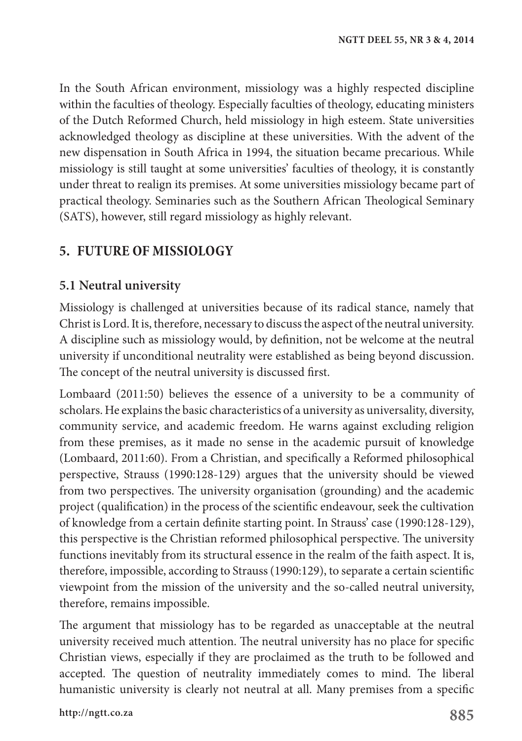In the South African environment, missiology was a highly respected discipline within the faculties of theology. Especially faculties of theology, educating ministers of the Dutch Reformed Church, held missiology in high esteem. State universities acknowledged theology as discipline at these universities. With the advent of the new dispensation in South Africa in 1994, the situation became precarious. While missiology is still taught at some universities' faculties of theology, it is constantly under threat to realign its premises. At some universities missiology became part of practical theology. Seminaries such as the Southern African Theological Seminary (SATS), however, still regard missiology as highly relevant.

# **5. FUTURE OF MISSIOLOGY**

#### **5.1 Neutral university**

Missiology is challenged at universities because of its radical stance, namely that Christ is Lord. It is, therefore, necessary to discuss the aspect of the neutral university. A discipline such as missiology would, by definition, not be welcome at the neutral university if unconditional neutrality were established as being beyond discussion. The concept of the neutral university is discussed first.

Lombaard (2011:50) believes the essence of a university to be a community of scholars. He explains the basic characteristics of a university as universality, diversity, community service, and academic freedom. He warns against excluding religion from these premises, as it made no sense in the academic pursuit of knowledge (Lombaard, 2011:60). From a Christian, and specifically a Reformed philosophical perspective, Strauss (1990:128-129) argues that the university should be viewed from two perspectives. The university organisation (grounding) and the academic project (qualification) in the process of the scientific endeavour, seek the cultivation of knowledge from a certain definite starting point. In Strauss' case (1990:128-129), this perspective is the Christian reformed philosophical perspective. The university functions inevitably from its structural essence in the realm of the faith aspect. It is, therefore, impossible, according to Strauss (1990:129), to separate a certain scientific viewpoint from the mission of the university and the so-called neutral university, therefore, remains impossible.

The argument that missiology has to be regarded as unacceptable at the neutral university received much attention. The neutral university has no place for specific Christian views, especially if they are proclaimed as the truth to be followed and accepted. The question of neutrality immediately comes to mind. The liberal humanistic university is clearly not neutral at all. Many premises from a specific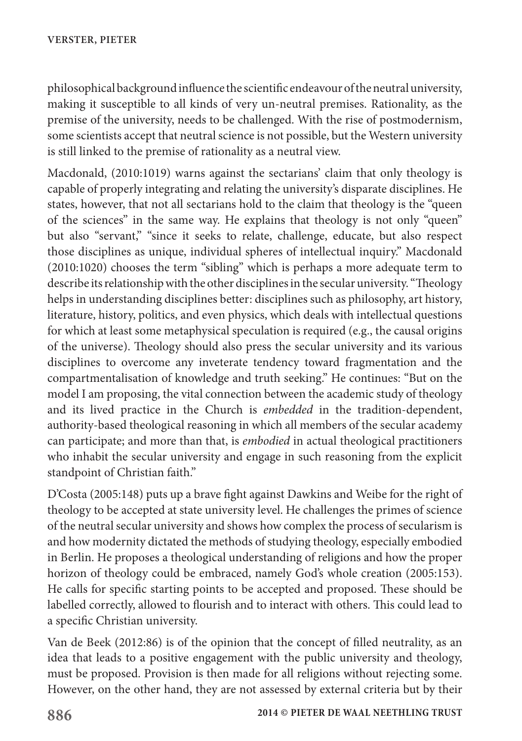philosophical background influence the scientific endeavour of the neutral university, making it susceptible to all kinds of very un-neutral premises. Rationality, as the premise of the university, needs to be challenged. With the rise of postmodernism, some scientists accept that neutral science is not possible, but the Western university is still linked to the premise of rationality as a neutral view.

Macdonald, (2010:1019) warns against the sectarians' claim that only theology is capable of properly integrating and relating the university's disparate disciplines. He states, however, that not all sectarians hold to the claim that theology is the "queen of the sciences" in the same way. He explains that theology is not only "queen" but also "servant," "since it seeks to relate, challenge, educate, but also respect those disciplines as unique, individual spheres of intellectual inquiry." Macdonald (2010:1020) chooses the term "sibling" which is perhaps a more adequate term to describe its relationship with the other disciplines in the secular university. "Theology helps in understanding disciplines better: disciplines such as philosophy, art history, literature, history, politics, and even physics, which deals with intellectual questions for which at least some metaphysical speculation is required (e.g., the causal origins of the universe). Theology should also press the secular university and its various disciplines to overcome any inveterate tendency toward fragmentation and the compartmentalisation of knowledge and truth seeking." He continues: "But on the model I am proposing, the vital connection between the academic study of theology and its lived practice in the Church is *embedded* in the tradition-dependent, authority-based theological reasoning in which all members of the secular academy can participate; and more than that, is *embodied* in actual theological practitioners who inhabit the secular university and engage in such reasoning from the explicit standpoint of Christian faith."

D'Costa (2005:148) puts up a brave fight against Dawkins and Weibe for the right of theology to be accepted at state university level. He challenges the primes of science of the neutral secular university and shows how complex the process of secularism is and how modernity dictated the methods of studying theology, especially embodied in Berlin. He proposes a theological understanding of religions and how the proper horizon of theology could be embraced, namely God's whole creation (2005:153). He calls for specific starting points to be accepted and proposed. These should be labelled correctly, allowed to flourish and to interact with others. This could lead to a specific Christian university.

Van de Beek (2012:86) is of the opinion that the concept of filled neutrality, as an idea that leads to a positive engagement with the public university and theology, must be proposed. Provision is then made for all religions without rejecting some. However, on the other hand, they are not assessed by external criteria but by their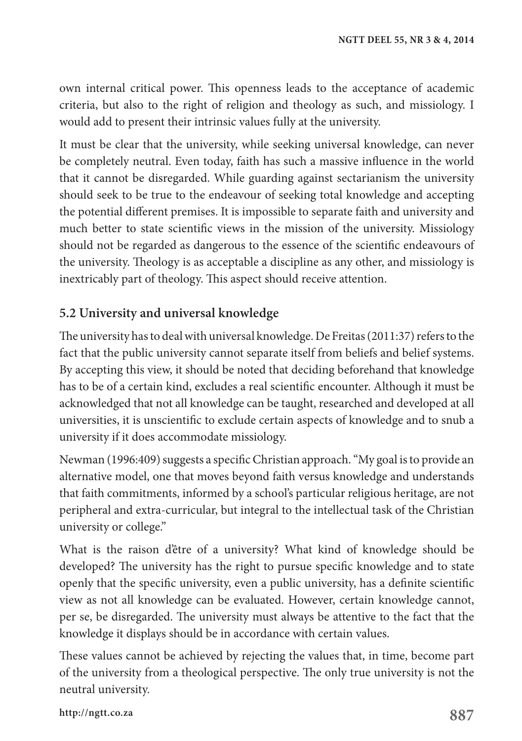own internal critical power. This openness leads to the acceptance of academic criteria, but also to the right of religion and theology as such, and missiology. I would add to present their intrinsic values fully at the university.

It must be clear that the university, while seeking universal knowledge, can never be completely neutral. Even today, faith has such a massive influence in the world that it cannot be disregarded. While guarding against sectarianism the university should seek to be true to the endeavour of seeking total knowledge and accepting the potential different premises. It is impossible to separate faith and university and much better to state scientific views in the mission of the university. Missiology should not be regarded as dangerous to the essence of the scientific endeavours of the university. Theology is as acceptable a discipline as any other, and missiology is inextricably part of theology. This aspect should receive attention.

### **5.2 University and universal knowledge**

The university has to deal with universal knowledge. De Freitas (2011:37) refers to the fact that the public university cannot separate itself from beliefs and belief systems. By accepting this view, it should be noted that deciding beforehand that knowledge has to be of a certain kind, excludes a real scientific encounter. Although it must be acknowledged that not all knowledge can be taught, researched and developed at all universities, it is unscientific to exclude certain aspects of knowledge and to snub a university if it does accommodate missiology.

Newman (1996:409) suggests a specific Christian approach. "My goal is to provide an alternative model, one that moves beyond faith versus knowledge and understands that faith commitments, informed by a school's particular religious heritage, are not peripheral and extra-curricular, but integral to the intellectual task of the Christian university or college."

What is the raison d'être of a university? What kind of knowledge should be developed? The university has the right to pursue specific knowledge and to state openly that the specific university, even a public university, has a definite scientific view as not all knowledge can be evaluated. However, certain knowledge cannot, per se, be disregarded. The university must always be attentive to the fact that the knowledge it displays should be in accordance with certain values.

These values cannot be achieved by rejecting the values that, in time, become part of the university from a theological perspective. The only true university is not the neutral university.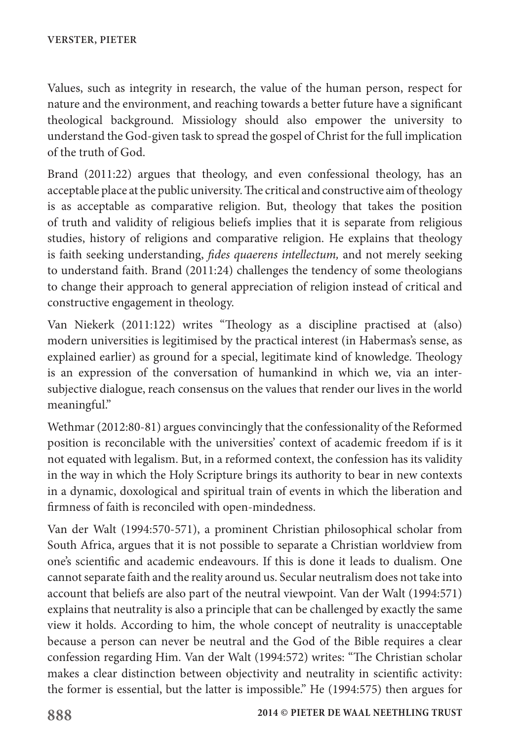Values, such as integrity in research, the value of the human person, respect for nature and the environment, and reaching towards a better future have a significant theological background. Missiology should also empower the university to understand the God-given task to spread the gospel of Christ for the full implication of the truth of God.

Brand (2011:22) argues that theology, and even confessional theology, has an acceptable place at the public university. The critical and constructive aim of theology is as acceptable as comparative religion. But, theology that takes the position of truth and validity of religious beliefs implies that it is separate from religious studies, history of religions and comparative religion. He explains that theology is faith seeking understanding, *fides quaerens intellectum,* and not merely seeking to understand faith. Brand (2011:24) challenges the tendency of some theologians to change their approach to general appreciation of religion instead of critical and constructive engagement in theology.

Van Niekerk (2011:122) writes "Theology as a discipline practised at (also) modern universities is legitimised by the practical interest (in Habermas's sense, as explained earlier) as ground for a special, legitimate kind of knowledge. Theology is an expression of the conversation of humankind in which we, via an intersubjective dialogue, reach consensus on the values that render our lives in the world meaningful."

Wethmar (2012:80-81) argues convincingly that the confessionality of the Reformed position is reconcilable with the universities' context of academic freedom if is it not equated with legalism. But, in a reformed context, the confession has its validity in the way in which the Holy Scripture brings its authority to bear in new contexts in a dynamic, doxological and spiritual train of events in which the liberation and firmness of faith is reconciled with open-mindedness.

Van der Walt (1994:570-571), a prominent Christian philosophical scholar from South Africa, argues that it is not possible to separate a Christian worldview from one's scientific and academic endeavours. If this is done it leads to dualism. One cannot separate faith and the reality around us. Secular neutralism does not take into account that beliefs are also part of the neutral viewpoint. Van der Walt (1994:571) explains that neutrality is also a principle that can be challenged by exactly the same view it holds. According to him, the whole concept of neutrality is unacceptable because a person can never be neutral and the God of the Bible requires a clear confession regarding Him. Van der Walt (1994:572) writes: "The Christian scholar makes a clear distinction between objectivity and neutrality in scientific activity: the former is essential, but the latter is impossible." He (1994:575) then argues for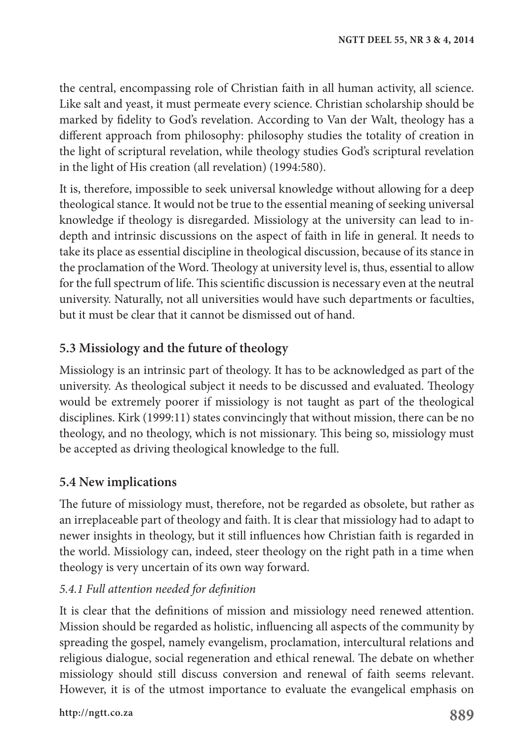the central, encompassing role of Christian faith in all human activity, all science. Like salt and yeast, it must permeate every science. Christian scholarship should be marked by fidelity to God's revelation. According to Van der Walt, theology has a different approach from philosophy: philosophy studies the totality of creation in the light of scriptural revelation, while theology studies God's scriptural revelation in the light of His creation (all revelation) (1994:580).

It is, therefore, impossible to seek universal knowledge without allowing for a deep theological stance. It would not be true to the essential meaning of seeking universal knowledge if theology is disregarded. Missiology at the university can lead to indepth and intrinsic discussions on the aspect of faith in life in general. It needs to take its place as essential discipline in theological discussion, because of its stance in the proclamation of the Word. Theology at university level is, thus, essential to allow for the full spectrum of life. This scientific discussion is necessary even at the neutral university. Naturally, not all universities would have such departments or faculties, but it must be clear that it cannot be dismissed out of hand.

# **5.3 Missiology and the future of theology**

Missiology is an intrinsic part of theology. It has to be acknowledged as part of the university. As theological subject it needs to be discussed and evaluated. Theology would be extremely poorer if missiology is not taught as part of the theological disciplines. Kirk (1999:11) states convincingly that without mission, there can be no theology, and no theology, which is not missionary. This being so, missiology must be accepted as driving theological knowledge to the full.

# **5.4 New implications**

The future of missiology must, therefore, not be regarded as obsolete, but rather as an irreplaceable part of theology and faith. It is clear that missiology had to adapt to newer insights in theology, but it still influences how Christian faith is regarded in the world. Missiology can, indeed, steer theology on the right path in a time when theology is very uncertain of its own way forward.

### *5.4.1 Full attention needed for definition*

It is clear that the definitions of mission and missiology need renewed attention. Mission should be regarded as holistic, influencing all aspects of the community by spreading the gospel, namely evangelism, proclamation, intercultural relations and religious dialogue, social regeneration and ethical renewal. The debate on whether missiology should still discuss conversion and renewal of faith seems relevant. However, it is of the utmost importance to evaluate the evangelical emphasis on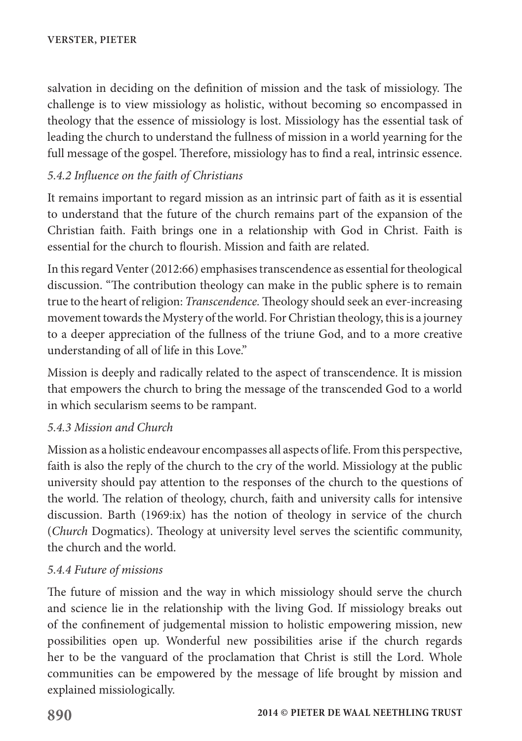salvation in deciding on the definition of mission and the task of missiology. The challenge is to view missiology as holistic, without becoming so encompassed in theology that the essence of missiology is lost. Missiology has the essential task of leading the church to understand the fullness of mission in a world yearning for the full message of the gospel. Therefore, missiology has to find a real, intrinsic essence.

#### *5.4.2 Influence on the faith of Christians*

It remains important to regard mission as an intrinsic part of faith as it is essential to understand that the future of the church remains part of the expansion of the Christian faith. Faith brings one in a relationship with God in Christ. Faith is essential for the church to flourish. Mission and faith are related.

In this regard Venter (2012:66) emphasises transcendence as essential for theological discussion. "The contribution theology can make in the public sphere is to remain true to the heart of religion: *Transcendence.* Theology should seek an ever-increasing movement towards the Mystery of the world. For Christian theology, this is a journey to a deeper appreciation of the fullness of the triune God, and to a more creative understanding of all of life in this Love."

Mission is deeply and radically related to the aspect of transcendence. It is mission that empowers the church to bring the message of the transcended God to a world in which secularism seems to be rampant.

#### *5.4.3 Mission and Church*

Mission as a holistic endeavour encompasses all aspects of life. From this perspective, faith is also the reply of the church to the cry of the world. Missiology at the public university should pay attention to the responses of the church to the questions of the world. The relation of theology, church, faith and university calls for intensive discussion. Barth (1969:ix) has the notion of theology in service of the church (*Church* Dogmatics). Theology at university level serves the scientific community, the church and the world.

#### *5.4.4 Future of missions*

The future of mission and the way in which missiology should serve the church and science lie in the relationship with the living God. If missiology breaks out of the confinement of judgemental mission to holistic empowering mission, new possibilities open up. Wonderful new possibilities arise if the church regards her to be the vanguard of the proclamation that Christ is still the Lord. Whole communities can be empowered by the message of life brought by mission and explained missiologically.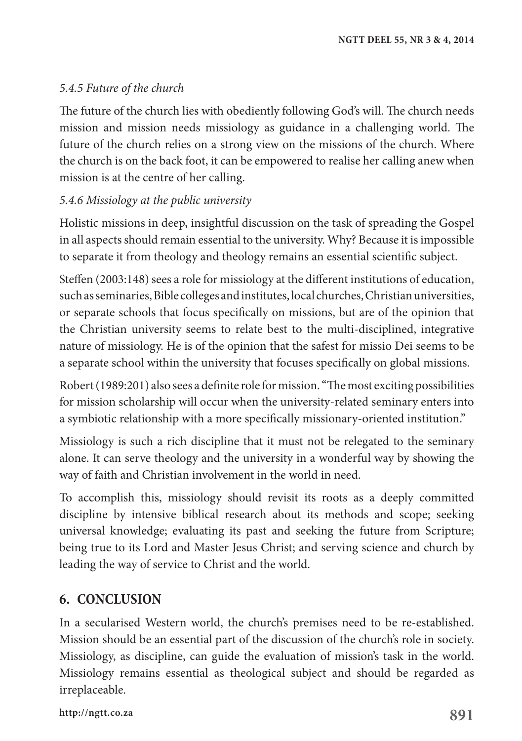#### *5.4.5 Future of the church*

The future of the church lies with obediently following God's will. The church needs mission and mission needs missiology as guidance in a challenging world. The future of the church relies on a strong view on the missions of the church. Where the church is on the back foot, it can be empowered to realise her calling anew when mission is at the centre of her calling.

#### *5.4.6 Missiology at the public university*

Holistic missions in deep, insightful discussion on the task of spreading the Gospel in all aspects should remain essential to the university. Why? Because it is impossible to separate it from theology and theology remains an essential scientific subject.

Steffen (2003:148) sees a role for missiology at the different institutions of education, such as seminaries, Bible colleges and institutes, local churches, Christian universities, or separate schools that focus specifically on missions, but are of the opinion that the Christian university seems to relate best to the multi-disciplined, integrative nature of missiology. He is of the opinion that the safest for missio Dei seems to be a separate school within the university that focuses specifically on global missions.

Robert (1989:201) also sees a definite role for mission. "The most exciting possibilities for mission scholarship will occur when the university-related seminary enters into a symbiotic relationship with a more specifically missionary-oriented institution."

Missiology is such a rich discipline that it must not be relegated to the seminary alone. It can serve theology and the university in a wonderful way by showing the way of faith and Christian involvement in the world in need.

To accomplish this, missiology should revisit its roots as a deeply committed discipline by intensive biblical research about its methods and scope; seeking universal knowledge; evaluating its past and seeking the future from Scripture; being true to its Lord and Master Jesus Christ; and serving science and church by leading the way of service to Christ and the world.

# **6. CONCLUSION**

In a secularised Western world, the church's premises need to be re-established. Mission should be an essential part of the discussion of the church's role in society. Missiology, as discipline, can guide the evaluation of mission's task in the world. Missiology remains essential as theological subject and should be regarded as irreplaceable.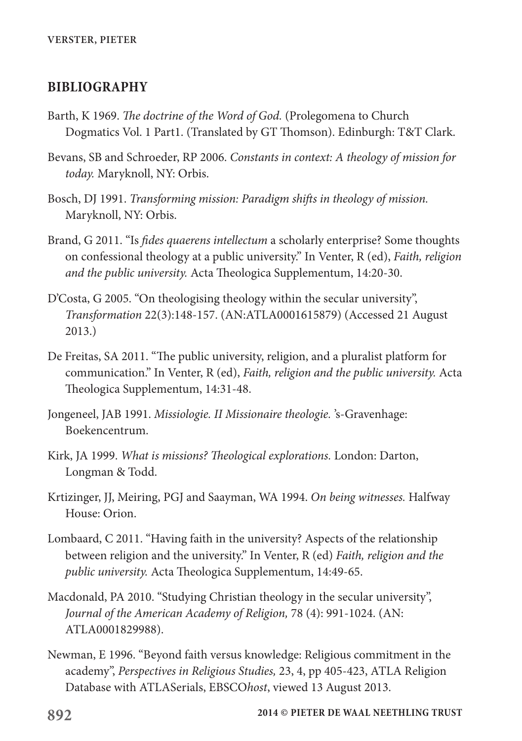#### **BIBLIOGRAPHY**

- Barth, K 1969. *The doctrine of the Word of God.* (Prolegomena to Church Dogmatics Vol. 1 Part1. (Translated by GT Thomson). Edinburgh: T&T Clark.
- Bevans, SB and Schroeder, RP 2006. *Constants in context: A theology of mission for today.* Maryknoll, NY: Orbis.
- Bosch, DJ 1991. *Transforming mission: Paradigm shifts in theology of mission.* Maryknoll, NY: Orbis.
- Brand, G 2011. "Is *fides quaerens intellectum* a scholarly enterprise? Some thoughts on confessional theology at a public university." In Venter, R (ed), *Faith, religion and the public university.* Acta Theologica Supplementum, 14:20-30.
- D'Costa, G 2005. "On theologising theology within the secular university", *Transformation* 22(3):148-157. (AN:ATLA0001615879) (Accessed 21 August 2013.)
- De Freitas, SA 2011. "The public university, religion, and a pluralist platform for communication." In Venter, R (ed), *Faith, religion and the public university.* Acta Theologica Supplementum, 14:31-48.
- Jongeneel, JAB 1991. *Missiologie. II Missionaire theologie.* 's-Gravenhage: Boekencentrum.
- Kirk, JA 1999. *What is missions? Theological explorations.* London: Darton, Longman & Todd.
- Krtizinger, JJ, Meiring, PGJ and Saayman, WA 1994. *On being witnesses.* Halfway House: Orion.
- Lombaard, C 2011. "Having faith in the university? Aspects of the relationship between religion and the university." In Venter, R (ed) *Faith, religion and the public university.* Acta Theologica Supplementum, 14:49-65.
- Macdonald, PA 2010. "Studying Christian theology in the secular university", *Journal of the American Academy of Religion,* 78 (4): 991-1024. (AN: ATLA0001829988).
- Newman, E 1996. "Beyond faith versus knowledge: Religious commitment in the academy", *Perspectives in Religious Studies,* 23, 4, pp 405-423, ATLA Religion Database with ATLASerials, EBSCO*host*, viewed 13 August 2013.